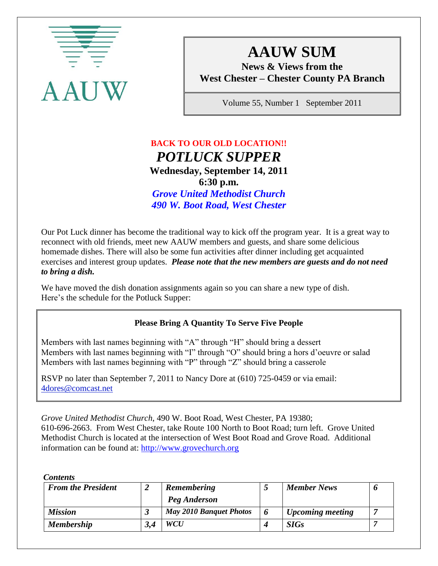

# **AAUW SUM**

**News & Views from the West Chester – Chester County PA Branch**

Volume 55, Number 1 September 2011

### **BACK TO OUR OLD LOCATION!!**  *POTLUCK SUPPER* **Wednesday, September 14, 2011 6:30 p.m.** *Grove United Methodist Church 490 W. Boot Road, West Chester*

Our Pot Luck dinner has become the traditional way to kick off the program year. It is a great way to reconnect with old friends, meet new AAUW members and guests, and share some delicious homemade dishes. There will also be some fun activities after dinner including get acquainted exercises and interest group updates. *Please note that the new members are guests and do not need to bring a dish.*

We have moved the dish donation assignments again so you can share a new type of dish. Here's the schedule for the Potluck Supper:

### **Please Bring A Quantity To Serve Five People**

Members with last names beginning with "A" through "H" should bring a dessert Members with last names beginning with "I" through "O" should bring a hors d'oeuvre or salad Members with last names beginning with "P" through "Z" should bring a casserole

RSVP no later than September 7, 2011 to Nancy Dore at (610) 725-0459 or via email: 4dores@comcast.net

*Grove United Methodist Church*, 490 W. Boot Road, West Chester, PA 19380; 610-696-2663. From West Chester, take Route 100 North to Boot Road; turn left. Grove United Methodist Church is located at the intersection of West Boot Road and Grove Road. Additional information can be found at: [http://www.grovechurch.org](http://www.grovechurch.org/)

*Contents*

| <b>From the President</b> | <b>Remembering</b>             | <b>Member News</b>      |  |
|---------------------------|--------------------------------|-------------------------|--|
|                           | Peg Anderson                   |                         |  |
| <b>Mission</b>            | <b>May 2010 Banquet Photos</b> | <b>Upcoming meeting</b> |  |
| <b>Membership</b>         | <b>WCU</b>                     | <b>SIGs</b>             |  |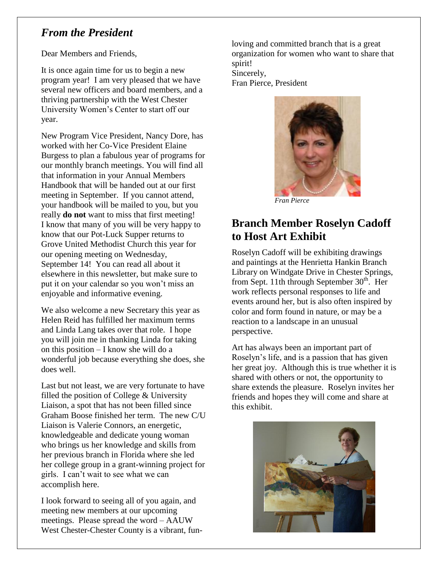### *From the President*

Dear Members and Friends,

It is once again time for us to begin a new program year! I am very pleased that we have several new officers and board members, and a thriving partnership with the West Chester University Women's Center to start off our year.

New Program Vice President, Nancy Dore, has worked with her Co-Vice President Elaine Burgess to plan a fabulous year of programs for our monthly branch meetings. You will find all that information in your Annual Members Handbook that will be handed out at our first meeting in September. If you cannot attend, your handbook will be mailed to you, but you really **do not** want to miss that first meeting! I know that many of you will be very happy to know that our Pot-Luck Supper returns to Grove United Methodist Church this year for our opening meeting on Wednesday, September 14! You can read all about it elsewhere in this newsletter, but make sure to put it on your calendar so you won't miss an enjoyable and informative evening.

We also welcome a new Secretary this year as Helen Reid has fulfilled her maximum terms and Linda Lang takes over that role. I hope you will join me in thanking Linda for taking on this position – I know she will do a wonderful job because everything she does, she does well.

Last but not least, we are very fortunate to have filled the position of College & University Liaison, a spot that has not been filled since Graham Boose finished her term. The new C/U Liaison is Valerie Connors, an energetic, knowledgeable and dedicate young woman who brings us her knowledge and skills from her previous branch in Florida where she led her college group in a grant-winning project for girls. I can't wait to see what we can accomplish here.

I look forward to seeing all of you again, and meeting new members at our upcoming meetings. Please spread the word – AAUW West Chester-Chester County is a vibrant, funloving and committed branch that is a great organization for women who want to share that spirit!

Sincerely, Fran Pierce, President



 *Fran Pierce*

# **Branch Member Roselyn Cadoff to Host Art Exhibit**

Roselyn Cadoff will be exhibiting drawings and paintings at the Henrietta Hankin Branch Library on Windgate Drive in Chester Springs, from Sept. 11th through September  $30<sup>th</sup>$ . Her work reflects personal responses to life and events around her, but is also often inspired by color and form found in nature, or may be a reaction to a landscape in an unusual perspective.

Art has always been an important part of Roselyn's life, and is a passion that has given her great joy. Although this is true whether it is shared with others or not, the opportunity to share extends the pleasure. Roselyn invites her friends and hopes they will come and share at this exhibit.

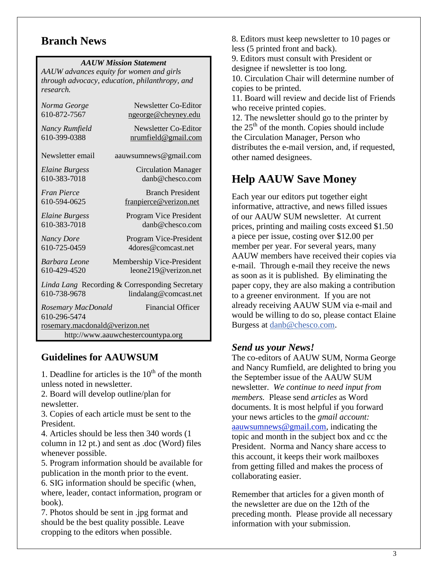### **Branch News**

#### *AAUW Mission Statement*

*AAUW advances equity for women and girls through advocacy, education, philanthropy, and research.*

| Norma George                                                                            | Newsletter Co-Editor        |  |  |  |
|-----------------------------------------------------------------------------------------|-----------------------------|--|--|--|
| 610-872-7567                                                                            | ngeorge@cheyney.edu         |  |  |  |
| Nancy Rumfield                                                                          | Newsletter Co-Editor        |  |  |  |
| 610-399-0388                                                                            | <u>nrumfield@gmail.com</u>  |  |  |  |
| Newsletter email                                                                        | aauwsumnews@gmail.com       |  |  |  |
| <b>Elaine Burgess</b>                                                                   | <b>Circulation Manager</b>  |  |  |  |
| 610-383-7018                                                                            | danb@chesco.com             |  |  |  |
| <b>Fran Pierce</b>                                                                      | <b>Branch President</b>     |  |  |  |
| 610-594-0625                                                                            | franpierce@verizon.net      |  |  |  |
| <b>Elaine Burgess</b>                                                                   | Program Vice President      |  |  |  |
| 610-383-7018                                                                            | danh@chesco.com             |  |  |  |
| <b>Nancy Dore</b>                                                                       | Program Vice-President      |  |  |  |
| 610-725-0459                                                                            | 4dores@comcast.net          |  |  |  |
| Barbara Leone                                                                           | Membership Vice-President   |  |  |  |
| 610-429-4520                                                                            | $l$ eone $219@$ verizon net |  |  |  |
| Linda Lang Recording & Corresponding Secretary<br>610-738-9678<br>lindalang@comcast.net |                             |  |  |  |
| Rosemary MacDonald<br>610-296-5474                                                      | <b>Financial Officer</b>    |  |  |  |
| rosemary.macdonald@verizon.net                                                          |                             |  |  |  |
| http://www.aauwchestercountypa.org                                                      |                             |  |  |  |

### **Guidelines for AAUWSUM**

1. Deadline for articles is the  $10<sup>th</sup>$  of the month unless noted in newsletter.

2. Board will develop outline/plan for newsletter.

3. Copies of each article must be sent to the President.

4. Articles should be less then 340 words (1 column in 12 pt.) and sent as .doc (Word) files whenever possible.

5. Program information should be available for publication in the month prior to the event.

6. SIG information should be specific (when, where, leader, contact information, program or book).

7. Photos should be sent in .jpg format and should be the best quality possible. Leave cropping to the editors when possible.

8. Editors must keep newsletter to 10 pages or less (5 printed front and back).

9. Editors must consult with President or designee if newsletter is too long.

10. Circulation Chair will determine number of copies to be printed.

11. Board will review and decide list of Friends who receive printed copies.

12. The newsletter should go to the printer by the  $25<sup>th</sup>$  of the month. Copies should include the Circulation Manager, Person who distributes the e-mail version, and, if requested, other named designees.

# **Help AAUW Save Money**

Each year our editors put together eight informative, attractive, and news filled issues of our AAUW SUM newsletter. At current prices, printing and mailing costs exceed \$1.50 a piece per issue, costing over \$12.00 per member per year. For several years, many AAUW members have received their copies via e-mail. Through e-mail they receive the news as soon as it is published. By eliminating the paper copy, they are also making a contribution to a greener environment. If you are not already receiving AAUW SUM via e-mail and would be willing to do so, please contact Elaine Burgess at [danb@chesco.com.](mailto:danb@chesco.com)

### *Send us your News!*

The co-editors of AAUW SUM, Norma George and Nancy Rumfield, are delighted to bring you the September issue of the AAUW SUM newsletter. *We continue to need input from members.* Please send *articles* as Word documents. It is most helpful if you forward your news articles to the *gmail account:* [aauwsumnews@gmail.com,](mailto:aauwsum@gmail.com) indicating the topic and month in the subject box and cc the President. Norma and Nancy share access to this account, it keeps their work mailboxes from getting filled and makes the process of collaborating easier.

Remember that articles for a given month of the newsletter are due on the 12th of the preceding month. Please provide all necessary information with your submission.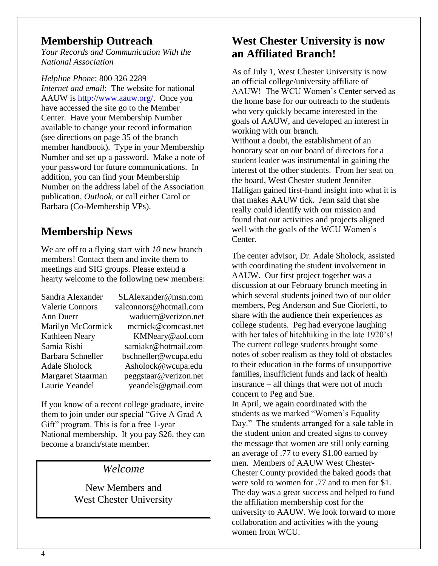### **Membership Outreach**

*Your Records and Communication With the National Association*

*Helpline Phone*: 800 326 2289 *Internet and email*: The website for national AAUW is [http://www.aauw.org/.](http://www.aauw.org/) Once you have accessed the site go to the Member Center. Have your Membership Number available to change your record information (see directions on page 35 of the branch member handbook). Type in your Membership Number and set up a password. Make a note of your password for future communications. In addition, you can find your Membership Number on the address label of the Association publication, *Outlook,* or call either Carol or Barbara (Co-Membership VPs).

# **Membership News**

We are off to a flying start with *10* new branch members! Contact them and invite them to meetings and SIG groups. Please extend a hearty welcome to the following new members:

| Sandra Alexander         | SLAlexander@msn.com    |
|--------------------------|------------------------|
| <b>Valerie Connors</b>   | valconnors@hotmail.com |
| Ann Duerr                | waduerr@verizon.net    |
| <b>Marilyn McCormick</b> | mcmick@comcast.net     |
| Kathleen Neary           | KMNeary@aol.com        |
| Samia Rishi              | samiakr@hotmail.com    |
| Barbara Schneller        | bschneller@wcupa.edu   |
| <b>Adale Sholock</b>     | Asholock@wcupa.edu     |
| Margaret Staarman        | peggstaar@verizon.net  |
| Laurie Yeandel           | yeandels@gmail.com     |

If you know of a recent college graduate, invite them to join under our special "Give A Grad A Gift" program. This is for a free 1-year National membership. If you pay \$26, they can become a branch/state member.

### *Welcome*

New Members and West Chester University

# **West Chester University is now an Affiliated Branch!**

As of July 1, West Chester University is now an official college/university affiliate of AAUW! The WCU Women's Center served as the home base for our outreach to the students who very quickly became interested in the goals of AAUW, and developed an interest in working with our branch. Without a doubt, the establishment of an honorary seat on our board of directors for a student leader was instrumental in gaining the interest of the other students. From her seat on the board, West Chester student Jennifer Halligan gained first-hand insight into what it is that makes AAUW tick. Jenn said that she really could identify with our mission and found that our activities and projects aligned well with the goals of the WCU Women's Center.

The center advisor, Dr. Adale Sholock, assisted with coordinating the student involvement in AAUW. Our first project together was a discussion at our February brunch meeting in which several students joined two of our older members, Peg Anderson and Sue Ciorletti, to share with the audience their experiences as college students. Peg had everyone laughing with her tales of hitchhiking in the late 1920's! The current college students brought some notes of sober realism as they told of obstacles to their education in the forms of unsupportive families, insufficient funds and lack of health insurance – all things that were not of much concern to Peg and Sue.

In April, we again coordinated with the students as we marked "Women's Equality Day." The students arranged for a sale table in the student union and created signs to convey the message that women are still only earning an average of .77 to every \$1.00 earned by men. Members of AAUW West Chester-Chester County provided the baked goods that were sold to women for .77 and to men for \$1. The day was a great success and helped to fund the affiliation membership cost for the university to AAUW. We look forward to more collaboration and activities with the young women from WCU.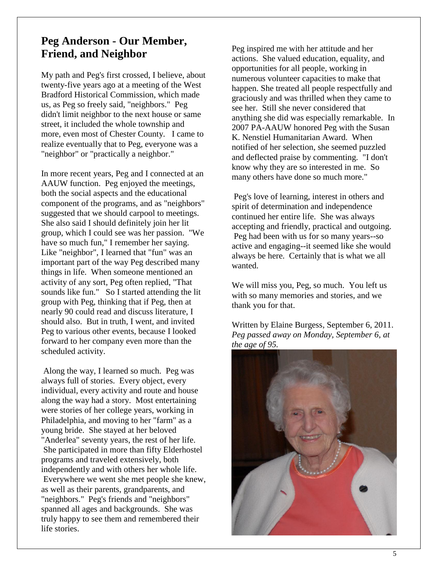### **Peg Anderson - Our Member, Friend, and Neighbor**

My path and Peg's first crossed, I believe, about twenty-five years ago at a meeting of the West Bradford Historical Commission, which made us, as Peg so freely said, "neighbors." Peg didn't limit neighbor to the next house or same street, it included the whole township and more, even most of Chester County. I came to realize eventually that to Peg, everyone was a "neighbor" or "practically a neighbor."

In more recent years, Peg and I connected at an AAUW function. Peg enjoyed the meetings, both the social aspects and the educational component of the programs, and as "neighbors" suggested that we should carpool to meetings. She also said I should definitely join her lit group, which I could see was her passion. "We have so much fun," I remember her saying. Like "neighbor", I learned that "fun" was an important part of the way Peg described many things in life. When someone mentioned an activity of any sort, Peg often replied, "That sounds like fun." So I started attending the lit group with Peg, thinking that if Peg, then at nearly 90 could read and discuss literature, I should also. But in truth, I went, and invited Peg to various other events, because I looked forward to her company even more than the scheduled activity.

Along the way, I learned so much. Peg was always full of stories. Every object, every individual, every activity and route and house along the way had a story. Most entertaining were stories of her college years, working in Philadelphia, and moving to her "farm" as a young bride. She stayed at her beloved "Anderlea" seventy years, the rest of her life. She participated in more than fifty Elderhostel programs and traveled extensively, both independently and with others her whole life. Everywhere we went she met people she knew, as well as their parents, grandparents, and "neighbors." Peg's friends and "neighbors" spanned all ages and backgrounds. She was truly happy to see them and remembered their life stories.

Peg inspired me with her attitude and her actions. She valued education, equality, and opportunities for all people, working in numerous volunteer capacities to make that happen. She treated all people respectfully and graciously and was thrilled when they came to see her. Still she never considered that anything she did was especially remarkable. In 2007 PA-AAUW honored Peg with the Susan K. Nenstiel Humanitarian Award. When notified of her selection, she seemed puzzled and deflected praise by commenting. "I don't know why they are so interested in me. So many others have done so much more."

Peg's love of learning, interest in others and spirit of determination and independence continued her entire life. She was always accepting and friendly, practical and outgoing. Peg had been with us for so many years--so active and engaging--it seemed like she would always be here. Certainly that is what we all wanted.

We will miss you, Peg, so much. You left us with so many memories and stories, and we thank you for that.

Written by Elaine Burgess, September 6, 2011. *Peg passed away on Monday, September 6, at the age of 95.*

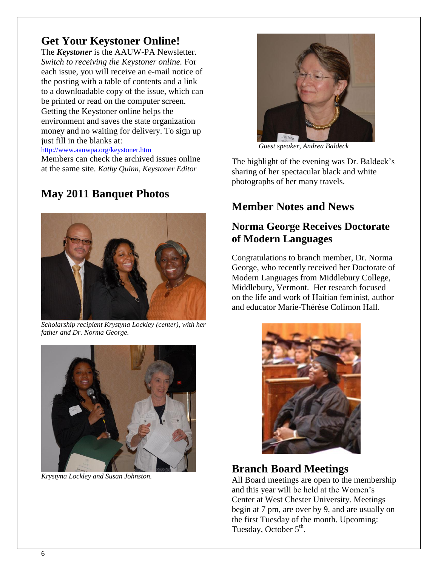# **Get Your Keystoner Online!**

The *Keystoner* is the AAUW-PA Newsletter. *Switch to receiving the Keystoner online.* For each issue, you will receive an e-mail notice of the posting with a table of contents and a link to a downloadable copy of the issue, which can be printed or read on the computer screen. Getting the Keystoner online helps the environment and saves the state organization money and no waiting for delivery. To sign up just fill in the blanks at:

<http://www.aauwpa.org/keystoner.htm> Members can check the archived issues online at the same site. *Kathy Quinn, Keystoner Editor*

# **May 2011 Banquet Photos**



*Scholarship recipient Krystyna Lockley (center), with her father and Dr. Norma George.*



*Krystyna Lockley and Susan Johnston.*



 *Guest speaker, Andrea Baldeck*

The highlight of the evening was Dr. Baldeck's sharing of her spectacular black and white photographs of her many travels.

# **Member Notes and News**

### **Norma George Receives Doctorate of Modern Languages**

Congratulations to branch member, Dr. Norma George, who recently received her Doctorate of Modern Languages from Middlebury College, Middlebury, Vermont. Her research focused on the life and work of Haitian feminist, author and educator Marie-Thérèse Colimon Hall.



# **Branch Board Meetings**

All Board meetings are open to the membership and this year will be held at the Women's Center at West Chester University. Meetings begin at 7 pm, are over by 9, and are usually on the first Tuesday of the month. Upcoming: Tuesday, October  $5^{\text{th}}$ .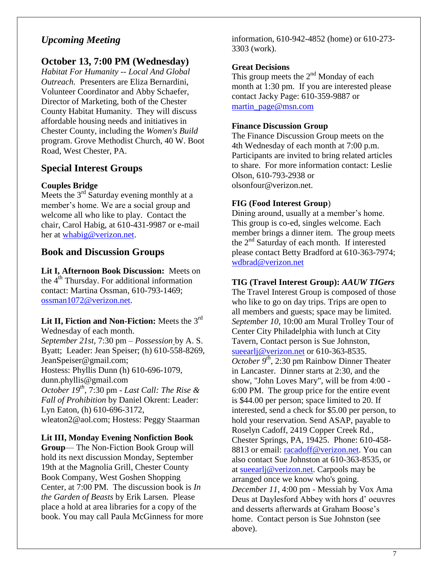### *Upcoming Meeting*

### **October 13, 7:00 PM (Wednesday)**

*Habitat For Humanity -- Local And Global Outreach.* Presenters are Eliza Bernardini, Volunteer Coordinator and Abby Schaefer, Director of Marketing, both of the Chester County Habitat Humanity. They will discuss affordable housing needs and initiatives in Chester County, including the *Women's Build* program. Grove Methodist Church, 40 W. Boot Road, West Chester, PA.

### **Special Interest Groups**

#### **Couples Bridge**

Meets the  $3<sup>rd</sup>$  Saturday evening monthly at a member's home. We are a social group and welcome all who like to play. Contact the chair, Carol Habig, at 610-431-9987 or e-mail her at [whabig@verizon.net.](mailto:whabig@verizon.net)

### **Book and Discussion Groups**

**Lit I, Afternoon Book Discussion:** Meets on the  $4<sup>th</sup>$  Thursday. For additional information contact: Martina Ossman, 610-793-1469; [ossman1072@verizon.net.](mailto:ossman1072@verizon.net)

#### **Lit II, Fiction and Non-Fiction:** Meets the 3rd Wednesday of each month.

*September 21st,* 7:30 pm – *Possession* by A. S. Byatt; Leader: Jean Speiser; (h) 610-558-8269, JeanSpeiser@gmail.com; Hostess: Phyllis Dunn (h) 610-696-1079, dunn.phyllis@gmail.com *October 19th ,* 7:30 pm *- Last Call: The Rise & Fall of Prohibition* by Daniel Okrent: Leader: Lyn Eaton, (h) 610-696-3172, wleaton2@aol.com; Hostess: Peggy Staarman

#### **Lit III, Monday Evening Nonfiction Book**

**Group**— The Non-Fiction Book Group will hold its next discussion Monday, September 19th at the Magnolia Grill, Chester County Book Company, West Goshen Shopping Center, at 7:00 PM. The discussion book is *In the Garden of Beasts* by Erik Larsen. Please place a hold at area libraries for a copy of the book. You may call Paula McGinness for more information, 610-942-4852 (home) or 610-273- 3303 (work).

#### **Great Decisions**

This group meets the  $2<sup>nd</sup>$  Monday of each month at 1:30 pm. If you are interested please contact Jacky Page: 610-359-9887 or [martin\\_page@msn.com](mailto:martin_page@msn.com)

#### **Finance Discussion Group**

The Finance Discussion Group meets on the 4th Wednesday of each month at 7:00 p.m. Participants are invited to bring related articles to share. For more information contact: Leslie Olson, 610-793-2938 or olsonfour@verizon.net.

#### **FIG (Food Interest Group**)

Dining around, usually at a member's home. This group is co-ed, singles welcome. Each member brings a dinner item. The group meets the  $2<sup>nd</sup>$  Saturday of each month. If interested please contact Betty Bradford at 610-363-7974; [wdbrad@verizon.net](mailto:wdbrad@verizon.net)

#### **TIG (Travel Interest Group):** *AAUW TIGers*

The Travel Interest Group is composed of those who like to go on day trips. Trips are open to all members and guests; space may be limited. *September 10*, 10:00 am Mural Trolley Tour of Center City Philadelphia with lunch at City Tavern, Contact person is Sue Johnston, [sueearlj@verizon.net](mailto:sueearlj@verizon.net) or 610-363-8535. *October 9th*, 2:30 pm Rainbow Dinner Theater in Lancaster. Dinner starts at 2:30, and the show, "John Loves Mary", will be from 4:00 - 6:00 PM. The group price for the entire event is \$44.00 per person; space limited to 20. If interested, send a check for \$5.00 per person, to hold your reservation. Send ASAP, payable to Roselyn Cadoff, 2419 Copper Creek Rd., Chester Springs, PA, 19425. Phone: 610-458 8813 or email: [racadoff@verizon.net.](https://webmail.cheyney.edu/owa/redir.aspx?C=b3204505f469432281088c50da59cd9a&URL=mailto%3aracadoff%40verizon.net) You can also contact Sue Johnston at 610-363-8535, or at [sueearlj@verizon.net.](https://webmail.cheyney.edu/owa/redir.aspx?C=b3204505f469432281088c50da59cd9a&URL=mailto%3asueearlj%40verizon.net) Carpools may be arranged once we know who's going. *December 11*, 4:00 pm - Messiah by Vox Ama Deus at Daylesford Abbey with hors d' oeuvres and desserts afterwards at Graham Boose's home. Contact person is Sue Johnston (see above).